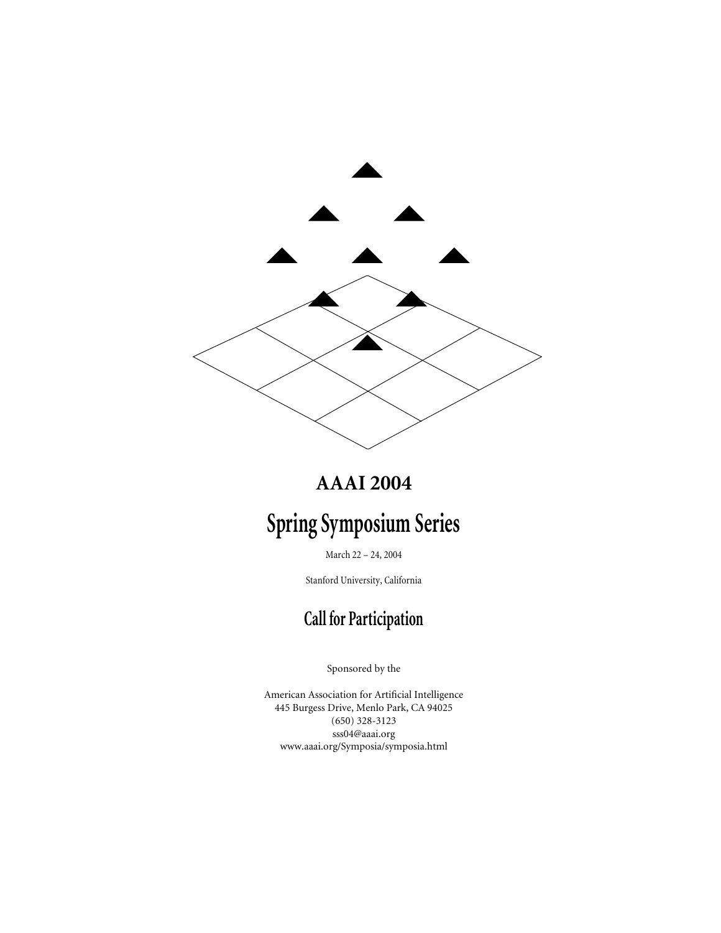

# **AAAI 2004**

# **Spring Symposium Series**

March 22 – 24, 2004

Stanford University, California

# **Call for Participation**

Sponsored by the

American Association for Artificial Intelligence 445 Burgess Drive, Menlo Park, CA 94025 (650) 328-3123 sss04@aaai.org www.aaai.org/Symposia/symposia.html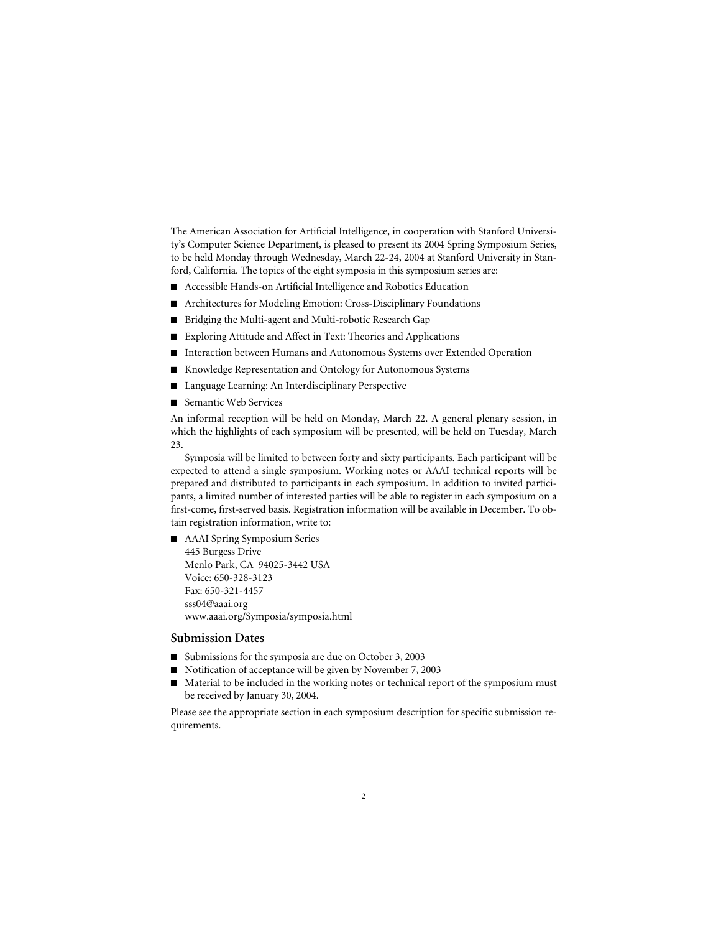The American Association for Artificial Intelligence, in cooperation with Stanford University's Computer Science Department, is pleased to present its 2004 Spring Symposium Series, to be held Monday through Wednesday, March 22-24, 2004 at Stanford University in Stanford, California. The topics of the eight symposia in this symposium series are:

- Accessible Hands-on Artificial Intelligence and Robotics Education
- Architectures for Modeling Emotion: Cross-Disciplinary Foundations
- Bridging the Multi-agent and Multi-robotic Research Gap
- Exploring Attitude and Affect in Text: Theories and Applications
- Interaction between Humans and Autonomous Systems over Extended Operation
- Knowledge Representation and Ontology for Autonomous Systems
- Language Learning: An Interdisciplinary Perspective
- Semantic Web Services

An informal reception will be held on Monday, March 22. A general plenary session, in which the highlights of each symposium will be presented, will be held on Tuesday, March 23.

Symposia will be limited to between forty and sixty participants. Each participant will be expected to attend a single symposium. Working notes or AAAI technical reports will be prepared and distributed to participants in each symposium. In addition to invited participants, a limited number of interested parties will be able to register in each symposium on a first-come, first-served basis. Registration information will be available in December. To obtain registration information, write to:

■ AAAI Spring Symposium Series 445 Burgess Drive Menlo Park, CA 94025-3442 USA Voice: 650-328-3123 Fax: 650-321-4457 sss04@aaai.org www.aaai.org/Symposia/symposia.html

#### **Submission Dates**

- Submissions for the symposia are due on October 3, 2003
- Notification of acceptance will be given by November 7, 2003
- Material to be included in the working notes or technical report of the symposium must be received by January 30, 2004.

Please see the appropriate section in each symposium description for specific submission requirements.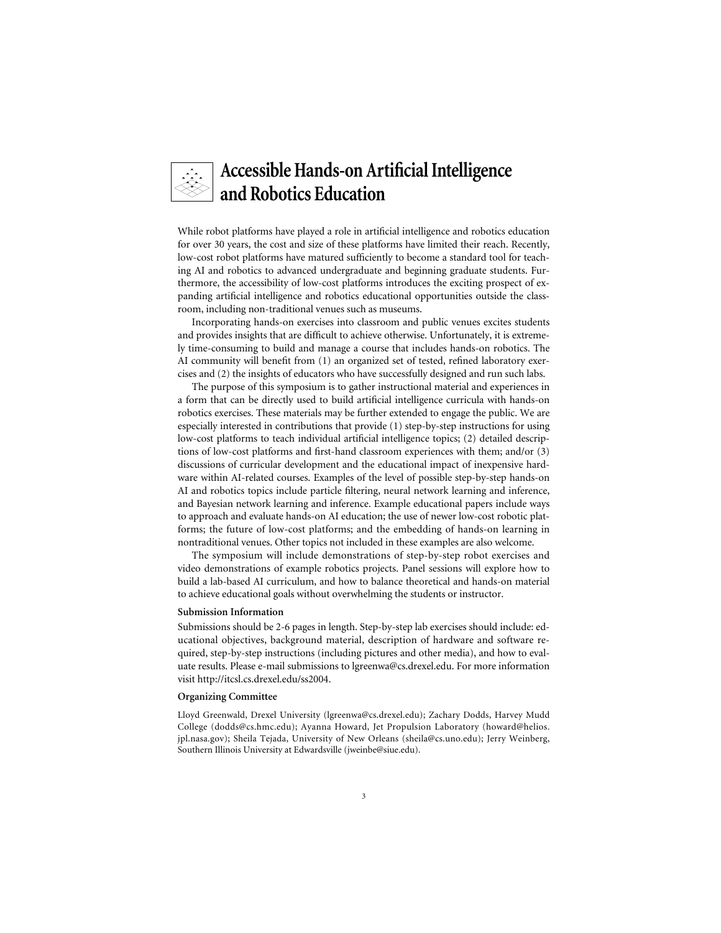## **Accessible Hands-on Artificial Intelligence and Robotics Education**

While robot platforms have played a role in artificial intelligence and robotics education for over 30 years, the cost and size of these platforms have limited their reach. Recently, low-cost robot platforms have matured sufficiently to become a standard tool for teaching AI and robotics to advanced undergraduate and beginning graduate students. Furthermore, the accessibility of low-cost platforms introduces the exciting prospect of expanding artificial intelligence and robotics educational opportunities outside the classroom, including non-traditional venues such as museums.

Incorporating hands-on exercises into classroom and public venues excites students and provides insights that are difficult to achieve otherwise. Unfortunately, it is extremely time-consuming to build and manage a course that includes hands-on robotics. The AI community will benefit from (1) an organized set of tested, refined laboratory exercises and (2) the insights of educators who have successfully designed and run such labs.

The purpose of this symposium is to gather instructional material and experiences in a form that can be directly used to build artificial intelligence curricula with hands-on robotics exercises. These materials may be further extended to engage the public. We are especially interested in contributions that provide (1) step-by-step instructions for using low-cost platforms to teach individual artificial intelligence topics; (2) detailed descriptions of low-cost platforms and first-hand classroom experiences with them; and/or (3) discussions of curricular development and the educational impact of inexpensive hardware within AI-related courses. Examples of the level of possible step-by-step hands-on AI and robotics topics include particle filtering, neural network learning and inference, and Bayesian network learning and inference. Example educational papers include ways to approach and evaluate hands-on AI education; the use of newer low-cost robotic platforms; the future of low-cost platforms; and the embedding of hands-on learning in nontraditional venues. Other topics not included in these examples are also welcome.

The symposium will include demonstrations of step-by-step robot exercises and video demonstrations of example robotics projects. Panel sessions will explore how to build a lab-based AI curriculum, and how to balance theoretical and hands-on material to achieve educational goals without overwhelming the students or instructor.

#### **Submission Information**

Submissions should be 2-6 pages in length. Step-by-step lab exercises should include: educational objectives, background material, description of hardware and software required, step-by-step instructions (including pictures and other media), and how to evaluate results. Please e-mail submissions to lgreenwa@cs.drexel.edu. For more information visit http://itcsl.cs.drexel.edu/ss2004.

#### **Organizing Committee**

Lloyd Greenwald, Drexel University (lgreenwa@cs.drexel.edu); Zachary Dodds, Harvey Mudd College (dodds@cs.hmc.edu); Ayanna Howard, Jet Propulsion Laboratory (howard@helios. jpl.nasa.gov); Sheila Tejada, University of New Orleans (sheila@cs.uno.edu); Jerry Weinberg, Southern Illinois University at Edwardsville (jweinbe@siue.edu).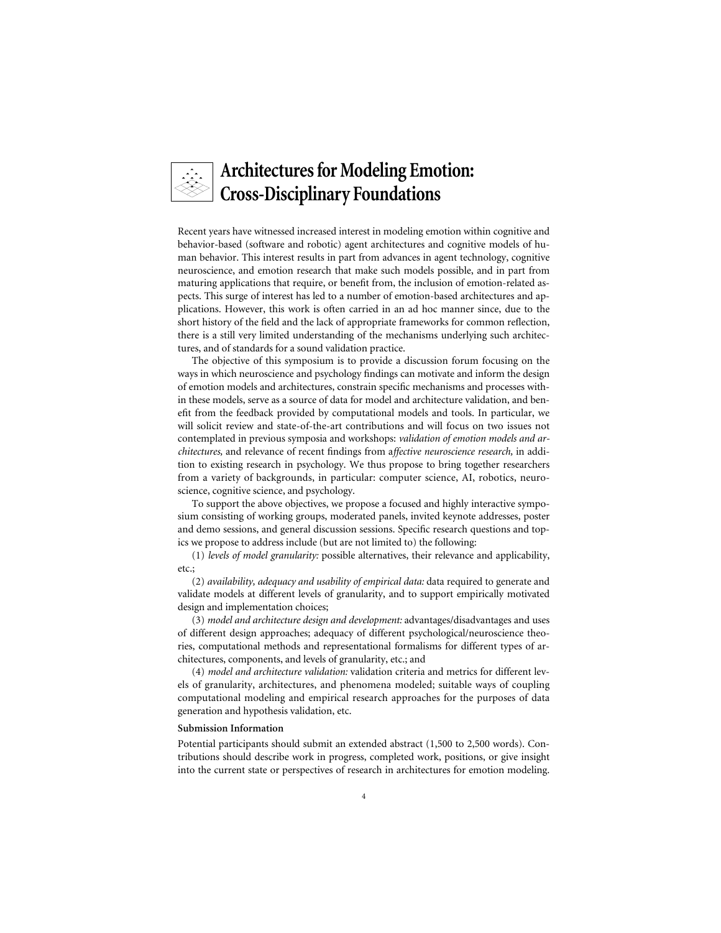# **Architectures for Modeling Emotion: Cross-Disciplinary Foundations**

Recent years have witnessed increased interest in modeling emotion within cognitive and behavior-based (software and robotic) agent architectures and cognitive models of human behavior. This interest results in part from advances in agent technology, cognitive neuroscience, and emotion research that make such models possible, and in part from maturing applications that require, or benefit from, the inclusion of emotion-related aspects. This surge of interest has led to a number of emotion-based architectures and applications. However, this work is often carried in an ad hoc manner since, due to the short history of the field and the lack of appropriate frameworks for common reflection, there is a still very limited understanding of the mechanisms underlying such architectures, and of standards for a sound validation practice.

The objective of this symposium is to provide a discussion forum focusing on the ways in which neuroscience and psychology findings can motivate and inform the design of emotion models and architectures, constrain specific mechanisms and processes within these models, serve as a source of data for model and architecture validation, and benefit from the feedback provided by computational models and tools. In particular, we will solicit review and state-of-the-art contributions and will focus on two issues not contemplated in previous symposia and workshops: *validation of emotion models and architectures,* and relevance of recent findings from a*ffective neuroscience research,* in addition to existing research in psychology. We thus propose to bring together researchers from a variety of backgrounds, in particular: computer science, AI, robotics, neuroscience, cognitive science, and psychology.

To support the above objectives, we propose a focused and highly interactive symposium consisting of working groups, moderated panels, invited keynote addresses, poster and demo sessions, and general discussion sessions. Specific research questions and topics we propose to address include (but are not limited to) the following:

(1) *levels of model granularity:* possible alternatives, their relevance and applicability, etc.;

(2) *availability, adequacy and usability of empirical data:* data required to generate and validate models at different levels of granularity, and to support empirically motivated design and implementation choices;

(3) *model and architecture design and development:* advantages/disadvantages and uses of different design approaches; adequacy of different psychological/neuroscience theories, computational methods and representational formalisms for different types of architectures, components, and levels of granularity, etc.; and

(4) *model and architecture validation:* validation criteria and metrics for different levels of granularity, architectures, and phenomena modeled; suitable ways of coupling computational modeling and empirical research approaches for the purposes of data generation and hypothesis validation, etc.

#### **Submission Information**

Potential participants should submit an extended abstract (1,500 to 2,500 words). Contributions should describe work in progress, completed work, positions, or give insight into the current state or perspectives of research in architectures for emotion modeling.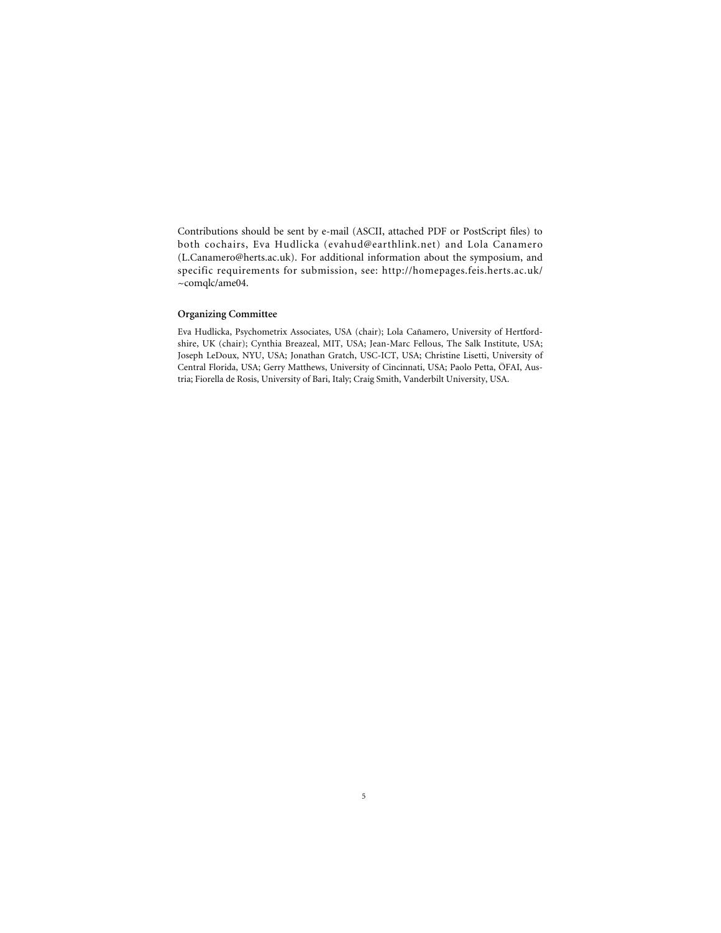Contributions should be sent by e-mail (ASCII, attached PDF or PostScript files) to both cochairs, Eva Hudlicka (evahud@earthlink.net) and Lola Canamero (L.Canamero@herts.ac.uk). For additional information about the symposium, and specific requirements for submission, see: http://homepages.feis.herts.ac.uk/ ~comqlc/ame04.

#### **Organizing Committee**

Eva Hudlicka, Psychometrix Associates, USA (chair); Lola Cañamero, University of Hertfordshire, UK (chair); Cynthia Breazeal, MIT, USA; Jean-Marc Fellous, The Salk Institute, USA; Joseph LeDoux, NYU, USA; Jonathan Gratch, USC-ICT, USA; Christine Lisetti, University of Central Florida, USA; Gerry Matthews, University of Cincinnati, USA; Paolo Petta, ÖFAI, Austria; Fiorella de Rosis, University of Bari, Italy; Craig Smith, Vanderbilt University, USA.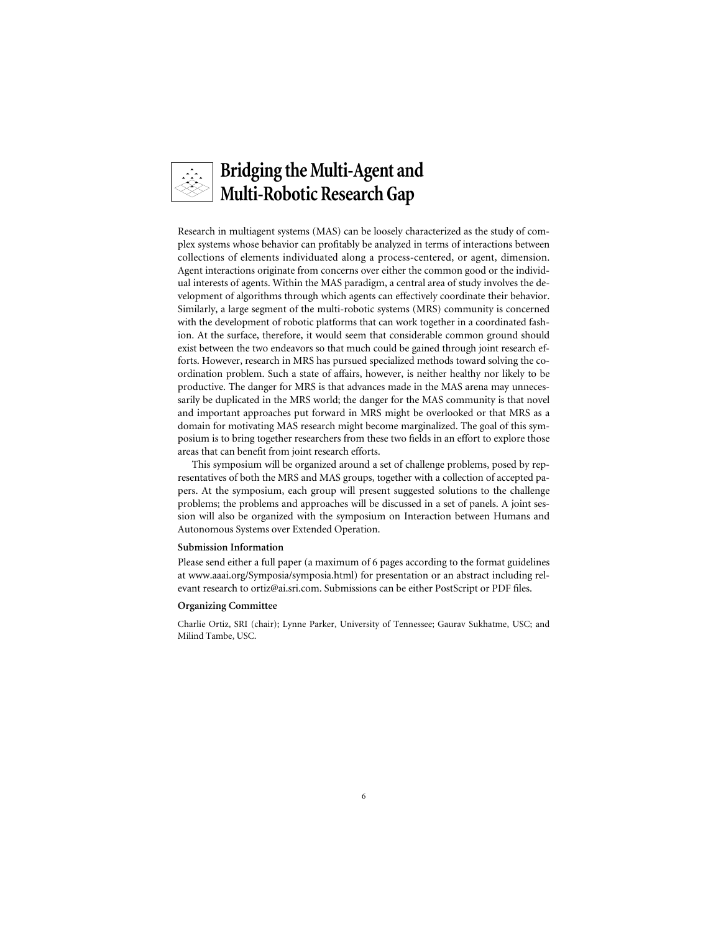

Research in multiagent systems (MAS) can be loosely characterized as the study of complex systems whose behavior can profitably be analyzed in terms of interactions between collections of elements individuated along a process-centered, or agent, dimension. Agent interactions originate from concerns over either the common good or the individual interests of agents. Within the MAS paradigm, a central area of study involves the development of algorithms through which agents can effectively coordinate their behavior. Similarly, a large segment of the multi-robotic systems (MRS) community is concerned with the development of robotic platforms that can work together in a coordinated fashion. At the surface, therefore, it would seem that considerable common ground should exist between the two endeavors so that much could be gained through joint research efforts. However, research in MRS has pursued specialized methods toward solving the coordination problem. Such a state of affairs, however, is neither healthy nor likely to be productive. The danger for MRS is that advances made in the MAS arena may unnecessarily be duplicated in the MRS world; the danger for the MAS community is that novel and important approaches put forward in MRS might be overlooked or that MRS as a domain for motivating MAS research might become marginalized. The goal of this symposium is to bring together researchers from these two fields in an effort to explore those areas that can benefit from joint research efforts.

This symposium will be organized around a set of challenge problems, posed by representatives of both the MRS and MAS groups, together with a collection of accepted papers. At the symposium, each group will present suggested solutions to the challenge problems; the problems and approaches will be discussed in a set of panels. A joint session will also be organized with the symposium on Interaction between Humans and Autonomous Systems over Extended Operation.

#### **Submission Information**

Please send either a full paper (a maximum of 6 pages according to the format guidelines at www.aaai.org/Symposia/symposia.html) for presentation or an abstract including relevant research to ortiz@ai.sri.com. Submissions can be either PostScript or PDF files.

#### **Organizing Committee**

Charlie Ortiz, SRI (chair); Lynne Parker, University of Tennessee; Gaurav Sukhatme, USC; and Milind Tambe, USC.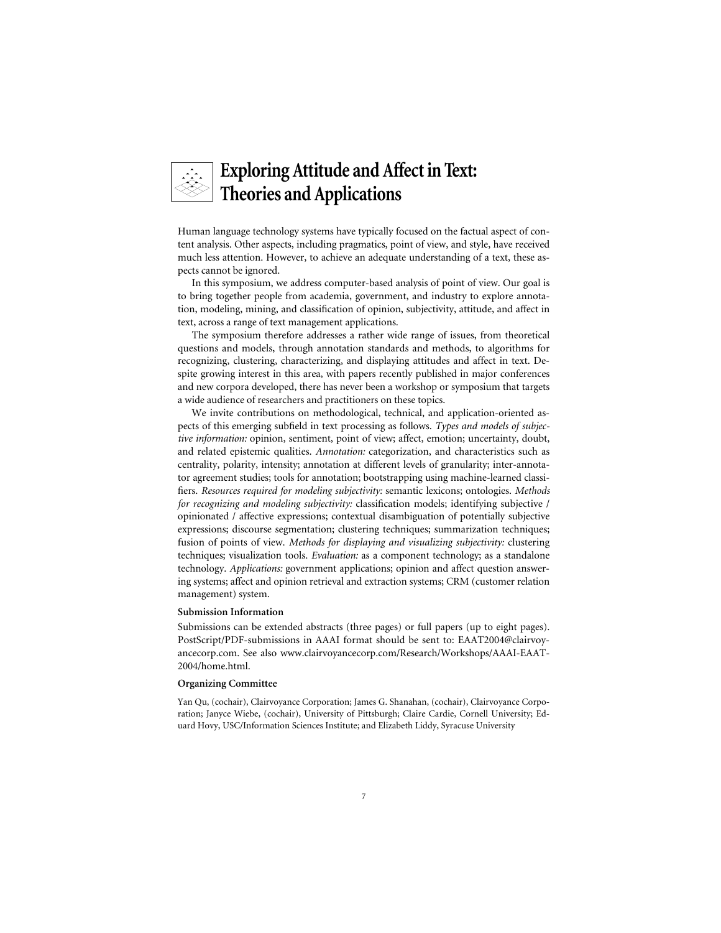# **Exploring Attitude and Affect in Text: Theories and Applications**

Human language technology systems have typically focused on the factual aspect of content analysis. Other aspects, including pragmatics, point of view, and style, have received much less attention. However, to achieve an adequate understanding of a text, these aspects cannot be ignored.

In this symposium, we address computer-based analysis of point of view. Our goal is to bring together people from academia, government, and industry to explore annotation, modeling, mining, and classification of opinion, subjectivity, attitude, and affect in text, across a range of text management applications.

The symposium therefore addresses a rather wide range of issues, from theoretical questions and models, through annotation standards and methods, to algorithms for recognizing, clustering, characterizing, and displaying attitudes and affect in text. Despite growing interest in this area, with papers recently published in major conferences and new corpora developed, there has never been a workshop or symposium that targets a wide audience of researchers and practitioners on these topics.

We invite contributions on methodological, technical, and application-oriented aspects of this emerging subfield in text processing as follows. *Types and models of subjective information:* opinion, sentiment, point of view; affect, emotion; uncertainty, doubt, and related epistemic qualities. *Annotation:* categorization, and characteristics such as centrality, polarity, intensity; annotation at different levels of granularity; inter-annotator agreement studies; tools for annotation; bootstrapping using machine-learned classifiers. *Resources required for modeling subjectivity:* semantic lexicons; ontologies. *Methods for recognizing and modeling subjectivity:* classification models; identifying subjective / opinionated / affective expressions; contextual disambiguation of potentially subjective expressions; discourse segmentation; clustering techniques; summarization techniques; fusion of points of view. *Methods for displaying and visualizing subjectivity:* clustering techniques; visualization tools. *Evaluation:* as a component technology; as a standalone technology. *Applications:* government applications; opinion and affect question answering systems; affect and opinion retrieval and extraction systems; CRM (customer relation management) system.

#### **Submission Information**

Submissions can be extended abstracts (three pages) or full papers (up to eight pages). PostScript/PDF-submissions in AAAI format should be sent to: EAAT2004@clairvoyancecorp.com. See also www.clairvoyancecorp.com/Research/Workshops/AAAI-EAAT-2004/home.html.

#### **Organizing Committee**

Yan Qu, (cochair), Clairvoyance Corporation; James G. Shanahan, (cochair), Clairvoyance Corporation; Janyce Wiebe, (cochair), University of Pittsburgh; Claire Cardie, Cornell University; Eduard Hovy, USC/Information Sciences Institute; and Elizabeth Liddy, Syracuse University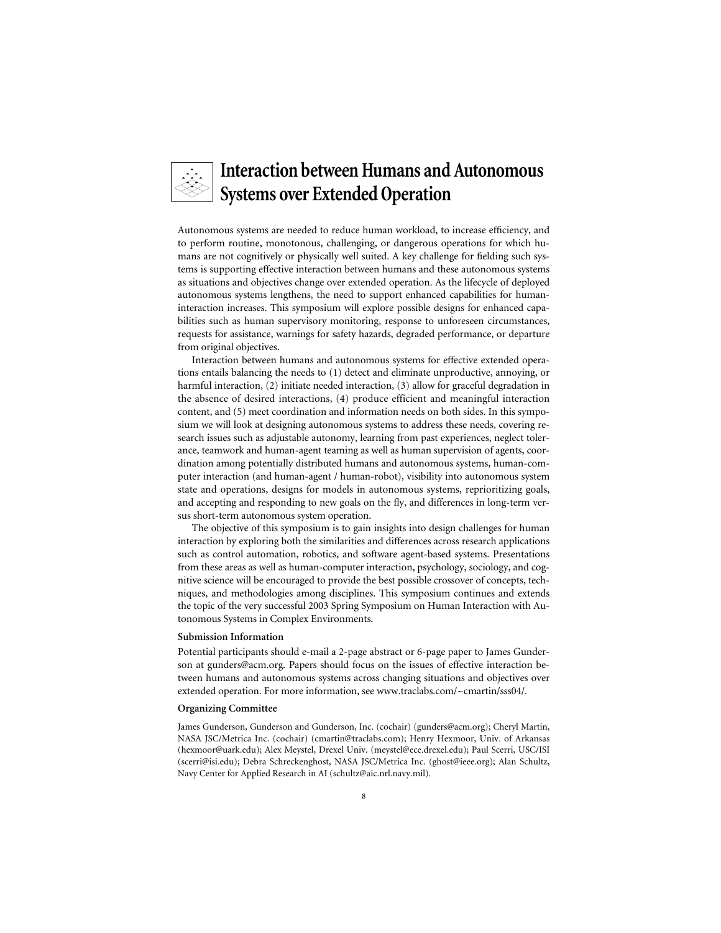

## **Interaction between Humans and Autonomous Systems over Extended Operation**

Autonomous systems are needed to reduce human workload, to increase efficiency, and to perform routine, monotonous, challenging, or dangerous operations for which humans are not cognitively or physically well suited. A key challenge for fielding such systems is supporting effective interaction between humans and these autonomous systems as situations and objectives change over extended operation. As the lifecycle of deployed autonomous systems lengthens, the need to support enhanced capabilities for humaninteraction increases. This symposium will explore possible designs for enhanced capabilities such as human supervisory monitoring, response to unforeseen circumstances, requests for assistance, warnings for safety hazards, degraded performance, or departure from original objectives.

Interaction between humans and autonomous systems for effective extended operations entails balancing the needs to (1) detect and eliminate unproductive, annoying, or harmful interaction, (2) initiate needed interaction, (3) allow for graceful degradation in the absence of desired interactions, (4) produce efficient and meaningful interaction content, and (5) meet coordination and information needs on both sides. In this symposium we will look at designing autonomous systems to address these needs, covering research issues such as adjustable autonomy, learning from past experiences, neglect tolerance, teamwork and human-agent teaming as well as human supervision of agents, coordination among potentially distributed humans and autonomous systems, human-computer interaction (and human-agent / human-robot), visibility into autonomous system state and operations, designs for models in autonomous systems, reprioritizing goals, and accepting and responding to new goals on the fly, and differences in long-term versus short-term autonomous system operation.

The objective of this symposium is to gain insights into design challenges for human interaction by exploring both the similarities and differences across research applications such as control automation, robotics, and software agent-based systems. Presentations from these areas as well as human-computer interaction, psychology, sociology, and cognitive science will be encouraged to provide the best possible crossover of concepts, techniques, and methodologies among disciplines. This symposium continues and extends the topic of the very successful 2003 Spring Symposium on Human Interaction with Autonomous Systems in Complex Environments.

#### **Submission Information**

Potential participants should e-mail a 2-page abstract or 6-page paper to James Gunderson at gunders@acm.org. Papers should focus on the issues of effective interaction between humans and autonomous systems across changing situations and objectives over extended operation. For more information, see www.traclabs.com/~cmartin/sss04/.

#### **Organizing Committee**

James Gunderson, Gunderson and Gunderson, Inc. (cochair) (gunders@acm.org); Cheryl Martin, NASA JSC/Metrica Inc. (cochair) (cmartin@traclabs.com); Henry Hexmoor, Univ. of Arkansas (hexmoor@uark.edu); Alex Meystel, Drexel Univ. (meystel@ece.drexel.edu); Paul Scerri, USC/ISI (scerri@isi.edu); Debra Schreckenghost, NASA JSC/Metrica Inc. (ghost@ieee.org); Alan Schultz, Navy Center for Applied Research in AI (schultz@aic.nrl.navy.mil).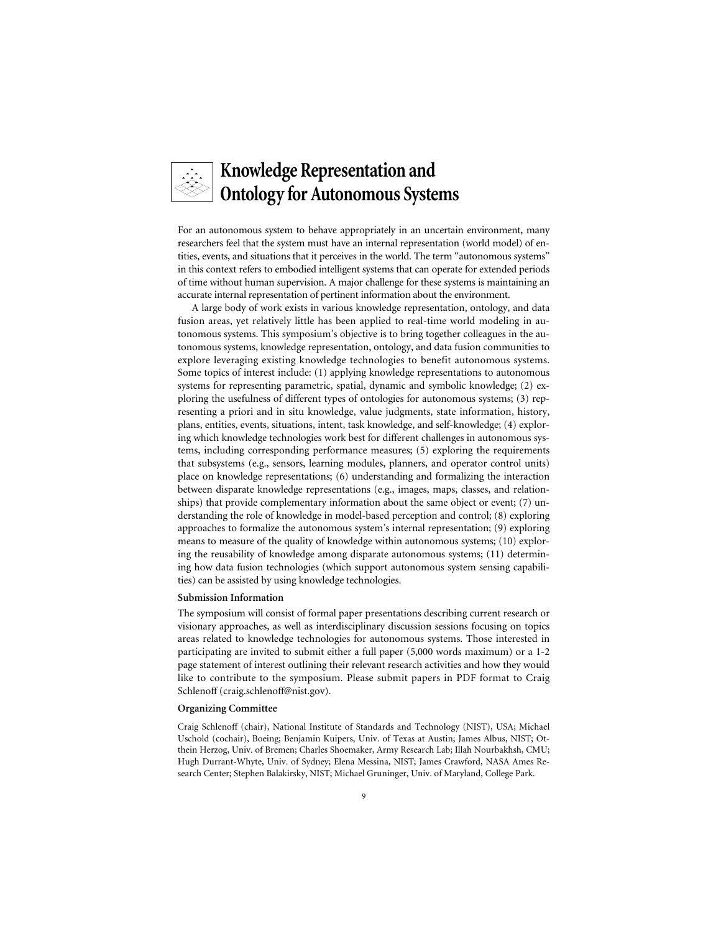# **Knowledge Representation and Ontology for Autonomous Systems**

For an autonomous system to behave appropriately in an uncertain environment, many researchers feel that the system must have an internal representation (world model) of entities, events, and situations that it perceives in the world. The term "autonomous systems" in this context refers to embodied intelligent systems that can operate for extended periods of time without human supervision. A major challenge for these systems is maintaining an accurate internal representation of pertinent information about the environment.

A large body of work exists in various knowledge representation, ontology, and data fusion areas, yet relatively little has been applied to real-time world modeling in autonomous systems. This symposium's objective is to bring together colleagues in the autonomous systems, knowledge representation, ontology, and data fusion communities to explore leveraging existing knowledge technologies to benefit autonomous systems. Some topics of interest include: (1) applying knowledge representations to autonomous systems for representing parametric, spatial, dynamic and symbolic knowledge; (2) exploring the usefulness of different types of ontologies for autonomous systems; (3) representing a priori and in situ knowledge, value judgments, state information, history, plans, entities, events, situations, intent, task knowledge, and self-knowledge; (4) exploring which knowledge technologies work best for different challenges in autonomous systems, including corresponding performance measures; (5) exploring the requirements that subsystems (e.g., sensors, learning modules, planners, and operator control units) place on knowledge representations; (6) understanding and formalizing the interaction between disparate knowledge representations (e.g., images, maps, classes, and relationships) that provide complementary information about the same object or event; (7) understanding the role of knowledge in model-based perception and control; (8) exploring approaches to formalize the autonomous system's internal representation; (9) exploring means to measure of the quality of knowledge within autonomous systems; (10) exploring the reusability of knowledge among disparate autonomous systems; (11) determining how data fusion technologies (which support autonomous system sensing capabilities) can be assisted by using knowledge technologies.

#### **Submission Information**

The symposium will consist of formal paper presentations describing current research or visionary approaches, as well as interdisciplinary discussion sessions focusing on topics areas related to knowledge technologies for autonomous systems. Those interested in participating are invited to submit either a full paper (5,000 words maximum) or a 1-2 page statement of interest outlining their relevant research activities and how they would like to contribute to the symposium. Please submit papers in PDF format to Craig Schlenoff (craig.schlenoff@nist.gov).

#### **Organizing Committee**

Craig Schlenoff (chair), National Institute of Standards and Technology (NIST), USA; Michael Uschold (cochair), Boeing; Benjamin Kuipers, Univ. of Texas at Austin; James Albus, NIST; Otthein Herzog, Univ. of Bremen; Charles Shoemaker, Army Research Lab; Illah Nourbakhsh, CMU; Hugh Durrant-Whyte, Univ. of Sydney; Elena Messina, NIST; James Crawford, NASA Ames Research Center; Stephen Balakirsky, NIST; Michael Gruninger, Univ. of Maryland, College Park.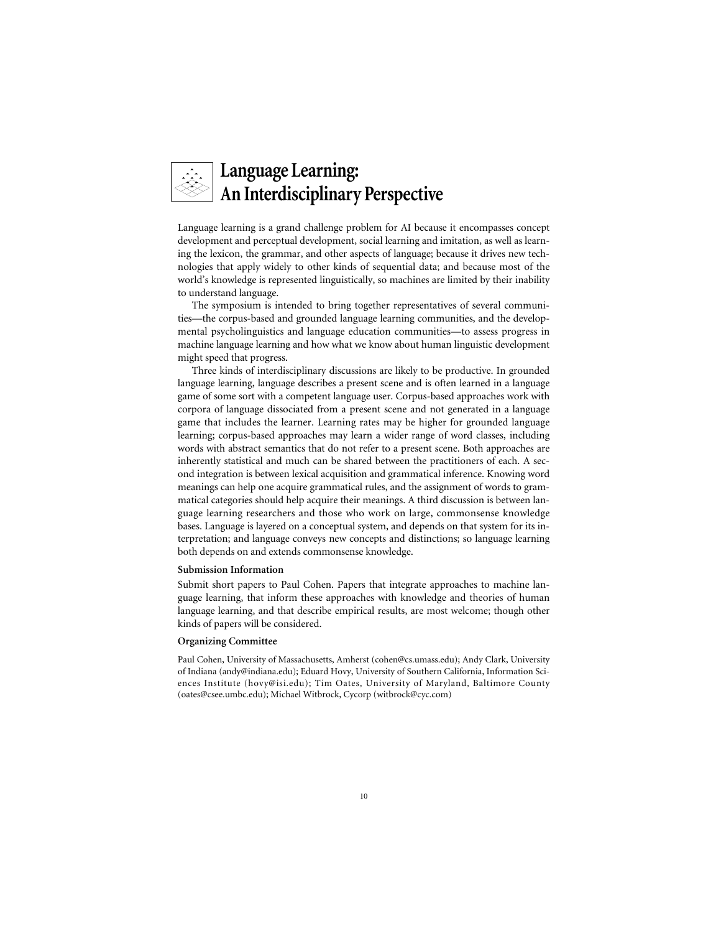# **Language Learning: An Interdisciplinary Perspective**

Language learning is a grand challenge problem for AI because it encompasses concept development and perceptual development, social learning and imitation, as well as learning the lexicon, the grammar, and other aspects of language; because it drives new technologies that apply widely to other kinds of sequential data; and because most of the world's knowledge is represented linguistically, so machines are limited by their inability to understand language.

The symposium is intended to bring together representatives of several communities—the corpus-based and grounded language learning communities, and the developmental psycholinguistics and language education communities—to assess progress in machine language learning and how what we know about human linguistic development might speed that progress.

Three kinds of interdisciplinary discussions are likely to be productive. In grounded language learning, language describes a present scene and is often learned in a language game of some sort with a competent language user. Corpus-based approaches work with corpora of language dissociated from a present scene and not generated in a language game that includes the learner. Learning rates may be higher for grounded language learning; corpus-based approaches may learn a wider range of word classes, including words with abstract semantics that do not refer to a present scene. Both approaches are inherently statistical and much can be shared between the practitioners of each. A second integration is between lexical acquisition and grammatical inference. Knowing word meanings can help one acquire grammatical rules, and the assignment of words to grammatical categories should help acquire their meanings. A third discussion is between language learning researchers and those who work on large, commonsense knowledge bases. Language is layered on a conceptual system, and depends on that system for its interpretation; and language conveys new concepts and distinctions; so language learning both depends on and extends commonsense knowledge.

#### **Submission Information**

Submit short papers to Paul Cohen. Papers that integrate approaches to machine language learning, that inform these approaches with knowledge and theories of human language learning, and that describe empirical results, are most welcome; though other kinds of papers will be considered.

#### **Organizing Committee**

Paul Cohen, University of Massachusetts, Amherst (cohen@cs.umass.edu); Andy Clark, University of Indiana (andy@indiana.edu); Eduard Hovy, University of Southern California, Information Sciences Institute (hovy@isi.edu); Tim Oates, University of Maryland, Baltimore County (oates@csee.umbc.edu); Michael Witbrock, Cycorp (witbrock@cyc.com)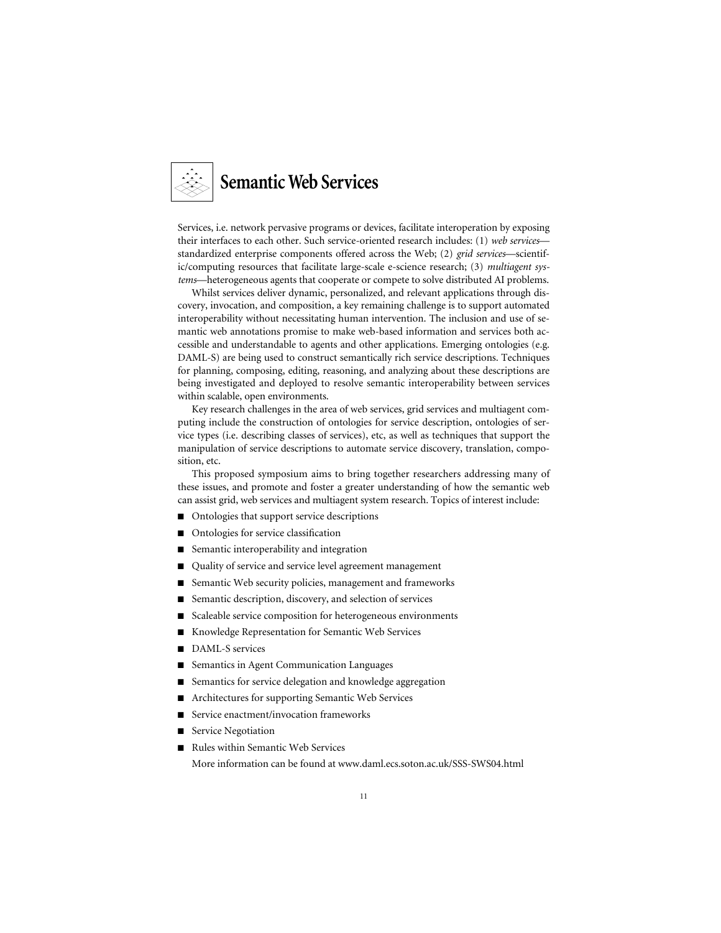

Services, i.e. network pervasive programs or devices, facilitate interoperation by exposing their interfaces to each other. Such service-oriented research includes: (1) *web services* standardized enterprise components offered across the Web; (2) *grid services*—scientific/computing resources that facilitate large-scale e-science research; (3) *multiagent systems*—heterogeneous agents that cooperate or compete to solve distributed AI problems.

Whilst services deliver dynamic, personalized, and relevant applications through discovery, invocation, and composition, a key remaining challenge is to support automated interoperability without necessitating human intervention. The inclusion and use of semantic web annotations promise to make web-based information and services both accessible and understandable to agents and other applications. Emerging ontologies (e.g. DAML-S) are being used to construct semantically rich service descriptions. Techniques for planning, composing, editing, reasoning, and analyzing about these descriptions are being investigated and deployed to resolve semantic interoperability between services within scalable, open environments.

Key research challenges in the area of web services, grid services and multiagent computing include the construction of ontologies for service description, ontologies of service types (i.e. describing classes of services), etc, as well as techniques that support the manipulation of service descriptions to automate service discovery, translation, composition, etc.

This proposed symposium aims to bring together researchers addressing many of these issues, and promote and foster a greater understanding of how the semantic web can assist grid, web services and multiagent system research. Topics of interest include:

- Ontologies that support service descriptions
- Ontologies for service classification
- Semantic interoperability and integration
- Quality of service and service level agreement management
- Semantic Web security policies, management and frameworks
- Semantic description, discovery, and selection of services
- Scaleable service composition for heterogeneous environments
- Knowledge Representation for Semantic Web Services
- DAML-S services
- Semantics in Agent Communication Languages
- Semantics for service delegation and knowledge aggregation
- Architectures for supporting Semantic Web Services
- Service enactment/invocation frameworks
- Service Negotiation
- Rules within Semantic Web Services

More information can be found at www.daml.ecs.soton.ac.uk/SSS-SWS04.html